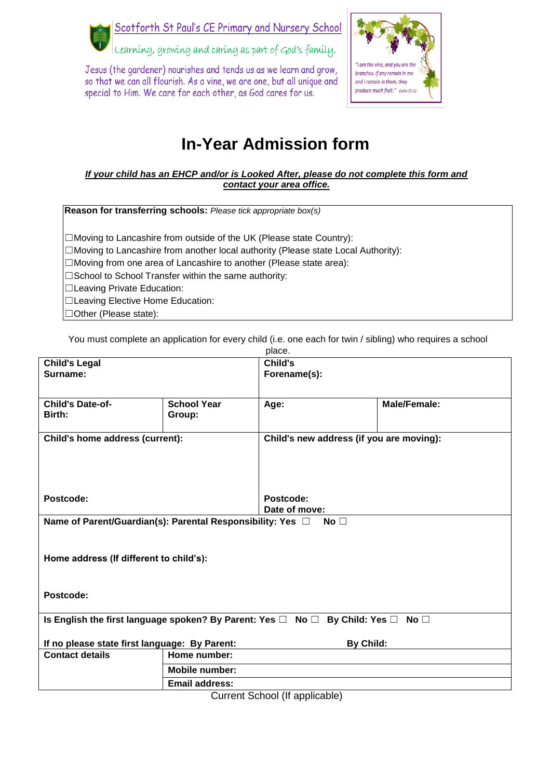Scotforth St Paul's CE Primary and Nursery School



Learning, growing and caring as part of God's family.

Jesus (the gardener) nourishes and tends us as we learn and grow, so that we can all flourish. As a vine, we are one, but all unique and special to Him. We care for each other, as God cares for us.



## **In-Year Admission form**

## *If your child has an EHCP and/or is Looked After, please do not complete this form and contact your area office.*

**Reason for transferring schools:** *Please tick appropriate box(s)*

☐Moving to Lancashire from outside of the UK (Please state Country): ☐Moving to Lancashire from another local authority (Please state Local Authority): ☐Moving from one area of Lancashire to another (Please state area): □School to School Transfer within the same authority: ☐Leaving Private Education: ☐Leaving Elective Home Education: ☐Other (Please state):

You must complete an application for every child (i.e. one each for twin / sibling) who requires a school

|                                                                                             |                       | place.                                   |              |
|---------------------------------------------------------------------------------------------|-----------------------|------------------------------------------|--------------|
| <b>Child's Legal</b>                                                                        |                       | Child's                                  |              |
| Surname:                                                                                    |                       | Forename(s):                             |              |
|                                                                                             |                       |                                          |              |
|                                                                                             |                       |                                          |              |
| <b>Child's Date-of-</b>                                                                     | <b>School Year</b>    | Age:                                     | Male/Female: |
| Birth:                                                                                      | Group:                |                                          |              |
|                                                                                             |                       |                                          |              |
| Child's home address (current):                                                             |                       | Child's new address (if you are moving): |              |
|                                                                                             |                       |                                          |              |
|                                                                                             |                       |                                          |              |
|                                                                                             |                       |                                          |              |
|                                                                                             |                       |                                          |              |
| Postcode:                                                                                   |                       | Postcode:                                |              |
|                                                                                             |                       | Date of move:                            |              |
| Name of Parent/Guardian(s): Parental Responsibility: Yes □<br>No $\square$                  |                       |                                          |              |
|                                                                                             |                       |                                          |              |
|                                                                                             |                       |                                          |              |
|                                                                                             |                       |                                          |              |
| Home address (If different to child's):                                                     |                       |                                          |              |
|                                                                                             |                       |                                          |              |
|                                                                                             |                       |                                          |              |
| Postcode:                                                                                   |                       |                                          |              |
|                                                                                             |                       |                                          |              |
| Is English the first language spoken? By Parent: Yes □<br>No $\Box$<br>By Child: Yes □ No □ |                       |                                          |              |
|                                                                                             |                       |                                          |              |
| If no please state first language: By Parent:                                               |                       | By Child:                                |              |
| <b>Contact details</b>                                                                      | Home number:          |                                          |              |
|                                                                                             | <b>Mobile number:</b> |                                          |              |
|                                                                                             | <b>Email address:</b> |                                          |              |

Current School (If applicable)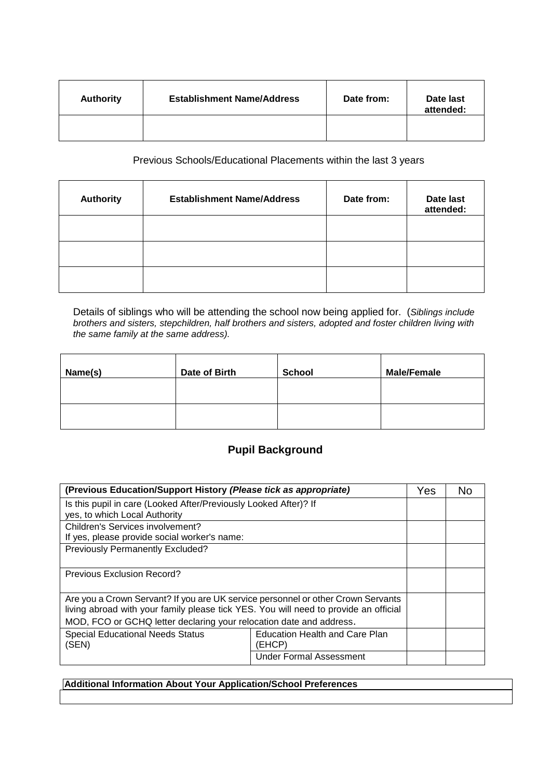| <b>Authority</b> | <b>Establishment Name/Address</b> | Date from: | Date last<br>attended: |
|------------------|-----------------------------------|------------|------------------------|
|                  |                                   |            |                        |

Previous Schools/Educational Placements within the last 3 years

| <b>Authority</b> | <b>Establishment Name/Address</b> | Date from: | Date last<br>attended: |
|------------------|-----------------------------------|------------|------------------------|
|                  |                                   |            |                        |
|                  |                                   |            |                        |
|                  |                                   |            |                        |

Details of siblings who will be attending the school now being applied for. (*Siblings include brothers and sisters, stepchildren, half brothers and sisters, adopted and foster children living with the same family at the same address).* 

| Name(s) | Date of Birth | <b>School</b> | <b>Male/Female</b> |
|---------|---------------|---------------|--------------------|
|         |               |               |                    |
|         |               |               |                    |

## **Pupil Background**

| (Previous Education/Support History (Please tick as appropriate)                                                                                                         |                                                 |  | No. |
|--------------------------------------------------------------------------------------------------------------------------------------------------------------------------|-------------------------------------------------|--|-----|
| Is this pupil in care (Looked After/Previously Looked After)? If                                                                                                         |                                                 |  |     |
| yes, to which Local Authority                                                                                                                                            |                                                 |  |     |
| Children's Services involvement?                                                                                                                                         |                                                 |  |     |
| If yes, please provide social worker's name:                                                                                                                             |                                                 |  |     |
| Previously Permanently Excluded?                                                                                                                                         |                                                 |  |     |
| Previous Exclusion Record?                                                                                                                                               |                                                 |  |     |
| Are you a Crown Servant? If you are UK service personnel or other Crown Servants<br>living abroad with your family please tick YES. You will need to provide an official |                                                 |  |     |
| MOD, FCO or GCHQ letter declaring your relocation date and address.                                                                                                      |                                                 |  |     |
| <b>Special Educational Needs Status</b><br>(SEN)                                                                                                                         | <b>Education Health and Care Plan</b><br>(EHCP) |  |     |
|                                                                                                                                                                          | <b>Under Formal Assessment</b>                  |  |     |

**Additional Information About Your Application/School Preferences**